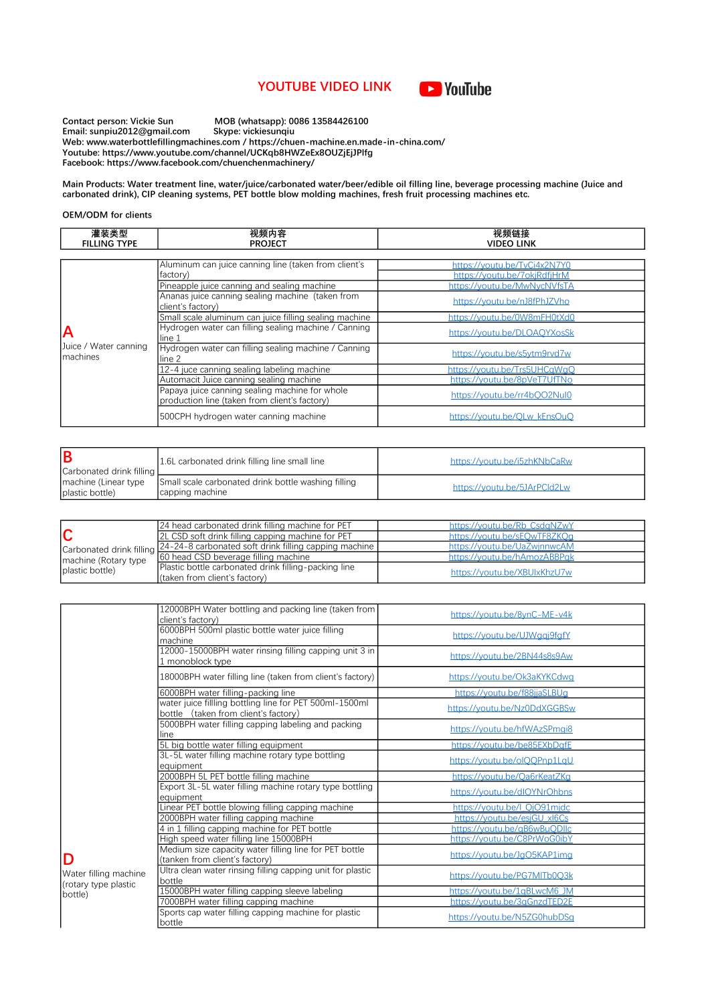## YOUTUBE VIDEO LINK



Contact person: Vickie Sun MOB (whatsapp): 0086 13584426100 Email: sunpiu2012@gmail.com Skype: vickiesunqiu Web: www.waterbottlefillingmachines.com / https://chuen-machine.en.made-in-china.com/ Youtube: https://www.youtube.com/channel/UCKqb8HWZeEx8OUZjEjJPlfg Facebook: https://www.facebook.com/chuenchenmachinery/

Main Products: Water treatment line, water/juice/carbonated water/beer/edible oil filling line, beverage processing machine (Juice and carbonated drink), CIP cleaning systems, PET bottle blow molding machines, fresh fruit processing machines etc.

## OEM/ODM for clients

| 灌装类型<br><b>FILLING TYPE</b>       | 视频内容<br><b>PROJECT</b>                                                                          | 视频链接<br><b>VIDEO LINK</b>    |
|-----------------------------------|-------------------------------------------------------------------------------------------------|------------------------------|
|                                   |                                                                                                 |                              |
|                                   | Aluminum can juice canning line (taken from client's                                            | https://youtu.be/TvCi4x2N7Y0 |
|                                   | factory)                                                                                        | https://youtu.be/7okjRdfjHrM |
|                                   | Pineapple juice canning and sealing machine                                                     | https://voutu.be/MwNvcNVfsTA |
|                                   | Ananas juice canning sealing machine (taken from<br>client's factory)                           | https://youtu.be/nJ8fPhJZVho |
|                                   | Small scale aluminum can juice filling sealing machine                                          | https://voutu.be/0W8mFH0tXd0 |
| $\overline{\mathsf{A}}$           | Hydrogen water can filling sealing machine / Canning<br>line 1                                  | https://voutu.be/DLOAOYXosSk |
| Juice / Water canning<br>machines | Hydrogen water can filling sealing machine / Canning<br>line 2                                  | https://youtu.be/s5ytm9rvd7w |
|                                   | 12-4 juce canning sealing labeling machine                                                      | https://voutu.be/Trs5UHCaWaO |
|                                   | Automacit Juice canning sealing machine                                                         | https://voutu.be/8pVeT7UfTNo |
|                                   | Papaya juice canning sealing machine for whole<br>production line (taken from client's factory) | https://voutu.be/rr4bOO2Nul0 |
|                                   | 500CPH hydrogen water canning machine                                                           | https://voutu.be/OLw_kEnsOuO |

| Carbonated drink filling | 1.6L carbonated drink filling line small line                                                  | https://voutu.be/i5zhKNbCaRw |
|--------------------------|------------------------------------------------------------------------------------------------|------------------------------|
| plastic bottle)          | Imachine (Linear type   Small scale carbonated drink bottle washing filling<br>capping machine | https://voutu.be/5JArPCld2Lw |

|                                         | 24 head carbonated drink filling machine for PET                                 | https://voutu.be/Rb CsdaNZwY |
|-----------------------------------------|----------------------------------------------------------------------------------|------------------------------|
|                                         | 2L CSD soft drink filling capping machine for PET                                | https://voutu.be/sEOwTF8ZKOg |
| machine (Rotary type<br>plastic bottle) | I Carbonated drink filling 24-24-8 carbonated soft drink filling capping machine | https://voutu.be/UaZwinnwcAM |
|                                         | 60 head CSD beverage filling machine                                             | https://voutu.be/hAmozABBPak |
|                                         | Plastic bottle carbonated drink filling-packing line                             |                              |
|                                         | (taken from client's factory)                                                    | https://voutu.be/XBUIxKhzU7w |

|                                                    | 12000BPH Water bottling and packing line (taken from<br>client's factory)                       | https://youtu.be/8ynC-ME-v4k |
|----------------------------------------------------|-------------------------------------------------------------------------------------------------|------------------------------|
|                                                    | 6000BPH 500ml plastic bottle water juice filling<br>machine                                     | https://youtu.be/UJWggj9fgfY |
|                                                    | 12000-15000BPH water rinsing filling capping unit 3 in<br>1 monoblock type                      | https://youtu.be/2BN44s8s9Aw |
|                                                    | 18000BPH water filling line (taken from client's factory)                                       | https://youtu.be/Ok3aKYKCdwg |
|                                                    | 6000BPH water filling-packing line                                                              | https://youtu.be/f88jjaSLBUg |
|                                                    | water juice fillling bottling line for PET 500ml-1500ml<br>bottle (taken from client's factory) | https://youtu.be/Nz0DdXGGBSw |
|                                                    | 5000BPH water filling capping labeling and packing<br>line                                      | https://youtu.be/hfWAzSPmgi8 |
|                                                    | 5L big bottle water filling equipment                                                           | https://youtu.be/be85EXbDqfE |
|                                                    | 3L-5L water filling machine rotary type bottling<br>lequipment                                  | https://youtu.be/olQQPnp1LqU |
|                                                    | 2000BPH 5L PET bottle filling machine                                                           | https://voutu.be/Oa6rKeatZKg |
|                                                    | Export 3L-5L water filling machine rotary type bottling<br>equipment                            | https://youtu.be/dlOYNrOhbns |
|                                                    | Linear PET bottle blowing filling capping machine                                               | https://voutu.be/l OiO91midc |
|                                                    | 2000BPH water filling capping machine                                                           | https://voutu.be/esiGU_xI6Cs |
|                                                    | 4 in 1 filling capping machine for PET bottle                                                   | https://voutu.be/aB6wBuODllc |
|                                                    | High speed water filling line 15000BPH                                                          | https://youtu.be/C8PrWoG0ibY |
| D<br>Water filling machine<br>(rotary type plastic | Medium size capacity water filling line for PET bottle<br>(tanken from client's factory)        | https://voutu.be/JaO5KAP1ima |
|                                                    | Ultra clean water rinsing filling capping unit for plastic<br>bottle                            | https://voutu.be/PG7MITb0O3k |
| bottle)                                            | 15000BPH water filling capping sleeve labeling                                                  | https://voutu.be/1aBLwcM6 JM |
|                                                    | 7000BPH water filling capping machine                                                           | https://voutu.be/3aGnzdTED2E |
|                                                    | Sports cap water filling capping machine for plastic<br>bottle                                  | https://youtu.be/N5ZG0hubDSq |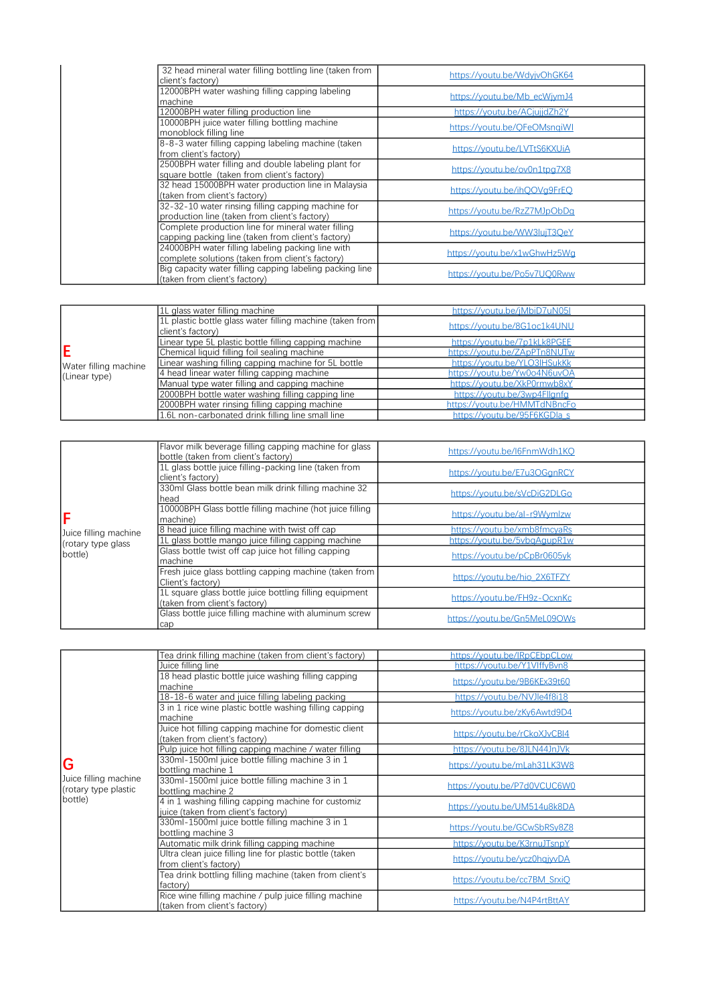| 32 head mineral water filling bottling line (taken from<br>client's factory)                             | https://voutu.be/WdvivOhGK64 |
|----------------------------------------------------------------------------------------------------------|------------------------------|
| 12000BPH water washing filling capping labeling<br>machine                                               | https://youtu.be/Mb_ecWjymJ4 |
| 12000BPH water filling production line                                                                   | https://voutu.be/ACiuiidZh2Y |
| 10000BPH juice water filling bottling machine                                                            |                              |
| monoblock filling line                                                                                   | https://voutu.be/OFeOMsnaiWI |
| 8-8-3 water filling capping labeling machine (taken<br>from client's factory)                            | https://voutu.be/LVTtS6KXUiA |
| 2500BPH water filling and double labeling plant for<br>square bottle (taken from client's factory)       | https://youtu.be/ov0n1tpg7X8 |
| 32 head 15000BPH water production line in Malaysia<br>(taken from client's factory)                      | https://voutu.be/ihOOVa9FrEO |
| 32-32-10 water rinsing filling capping machine for<br>production line (taken from client's factory)      | https://voutu.be/RzZ7MJpObDa |
| Complete production line for mineral water filling<br>capping packing line (taken from client's factory) | https://voutu.be/WW3luiT3OeY |
| 24000BPH water filling labeling packing line with<br>complete solutions (taken from client's factory)    | https://youtu.be/x1wGhwHz5Wg |
| Big capacity water filling capping labeling packing line<br>(taken from client's factory)                | https://voutu.be/Po5v7UO0Rww |

|                                        | 1L glass water filling machine                            | https://voutu.be/iMbiD7uN051 |
|----------------------------------------|-----------------------------------------------------------|------------------------------|
|                                        | 1L plastic bottle glass water filling machine (taken from | https://voutu.be/8G1oc1k4UNU |
|                                        | client's factory)                                         |                              |
|                                        | Linear type 5L plastic bottle filling capping machine     | https://voutu.be/7p1kLk8PGEE |
| Water filling machine<br>(Linear type) | Chemical liquid filling foil sealing machine              | https://voutu.be/ZApPTn8NUTw |
|                                        | Linear washing filling capping machine for 5L bottle      | https://voutu.be/YLO3IHSukKk |
|                                        | 4 head linear water filling capping machine               | https://youtu.be/Yw0o4N6uvOA |
|                                        | Manual type water filling and capping machine             | https://voutu.be/XkP0rmwb8xY |
|                                        | 2000BPH bottle water washing filling capping line         | https://voutu.be/3wp4Fllanfa |
|                                        | 2000BPH water rinsing filling capping machine             | https://youtu.be/HMMTdNBncFo |
|                                        | 1.6L non-carbonated drink filling line small line         | https://voutu.be/95F6KGDlas  |

|                       | Flavor milk beverage filling capping machine for glass<br>bottle (taken from client's factory) | https://youtu.be/l6FnmWdh1KO |
|-----------------------|------------------------------------------------------------------------------------------------|------------------------------|
|                       | 1L glass bottle juice filling-packing line (taken from<br>client's factory)                    | https://voutu.be/E7u3OGanRCY |
|                       | 330ml Glass bottle bean milk drink filling machine 32<br>head                                  | https://voutu.be/sVcDiG2DLGo |
|                       | 10000BPH Glass bottle filling machine (hot juice filling<br>machine)                           | https://youtu.be/al-r9Wymlzw |
| Juice filling machine | 8 head juice filling machine with twist off cap                                                | https://voutu.be/xmb8fmcvaRs |
| (rotary type glass    | 1L glass bottle mango juice filling capping machine                                            | https://voutu.be/5vbaAaupR1w |
| bottle)               | Glass bottle twist off cap juice hot filling capping<br>machine                                | https://voutu.be/pCpBr0605vk |
|                       | Fresh juice glass bottling capping machine (taken from<br>Client's factory)                    | https://voutu.be/hio 2X6TFZY |
|                       | 1L square glass bottle juice bottling filling equipment<br>(taken from client's factory)       | https://voutu.be/FH9z-OcxnKc |
|                       | Glass bottle juice filling machine with aluminum screw<br>cap                                  | https://voutu.be/Gn5MeL09OWs |

|                       | Tea drink filling machine (taken from client's factory)  | https://youtu.be/lRpCEbpCLow |
|-----------------------|----------------------------------------------------------|------------------------------|
|                       | Juice filling line                                       | https://voutu.be/Y1VlffvBvn8 |
|                       | 18 head plastic bottle juice washing filling capping     | https://youtu.be/9B6KEx39t60 |
|                       | machine                                                  |                              |
|                       | 18-18-6 water and juice filling labeling packing         | https://voutu.be/NVJle4f8i18 |
|                       | 3 in 1 rice wine plastic bottle washing filling capping  | https://voutu.be/zKv6Awtd9D4 |
|                       | machine                                                  |                              |
|                       | Juice hot filling capping machine for domestic client    | https://youtu.be/rCkoXJvCBI4 |
|                       | (taken from client's factory)                            |                              |
|                       | Pulp juice hot filling capping machine / water filling   | https://voutu.be/8JLN44JnJVk |
| G                     | 330ml-1500ml juice bottle filling machine 3 in 1         | https://youtu.be/mLah31LK3W8 |
|                       | bottling machine 1                                       |                              |
| Juice filling machine | 330ml-1500ml juice bottle filling machine 3 in 1         | https://youtu.be/P7d0VCUC6W0 |
| (rotary type plastic  | bottling machine 2                                       |                              |
| bottle)               | 4 in 1 washing filling capping machine for customiz      | https://voutu.be/UM514u8k8DA |
|                       | juice (taken from client's factory)                      |                              |
|                       | 330ml-1500ml juice bottle filling machine 3 in 1         | https://youtu.be/GCwSbRSy8Z8 |
|                       | bottling machine 3                                       |                              |
|                       | Automatic milk drink filling capping machine             | https://voutu.be/K3rnuJTsnpY |
|                       | Ultra clean juice filling line for plastic bottle (taken | https://youtu.be/ycz0hqjyyDA |
|                       | from client's factory)                                   |                              |
|                       | Tea drink bottling filling machine (taken from client's  | https://youtu.be/cc7BM_SrxiQ |
|                       | factory)                                                 |                              |
|                       | Rice wine filling machine / pulp juice filling machine   | https://youtu.be/N4P4rtBttAY |
|                       | (taken from client's factory)                            |                              |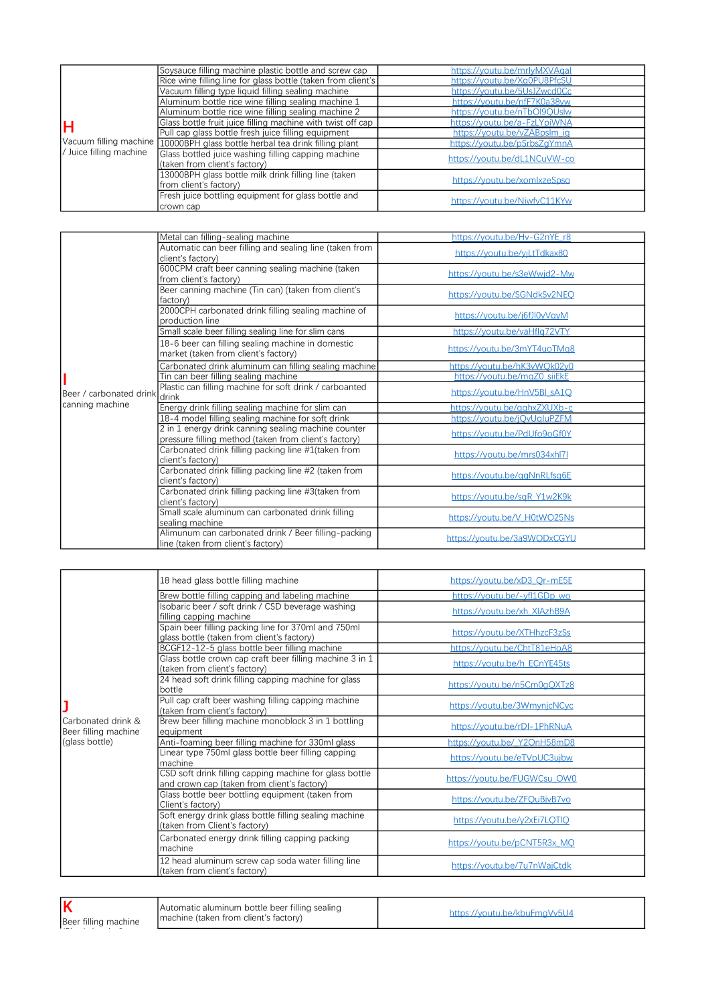|                         | Soysauce filling machine plastic bottle and screw cap                                | https://voutu.be/mrlvMXVAgal |
|-------------------------|--------------------------------------------------------------------------------------|------------------------------|
|                         | Rice wine filling line for glass bottle (taken from client's                         | https://voutu.be/Xa0PU8PfcSU |
|                         | Vacuum filling type liquid filling sealing machine                                   | https://youtu.be/5UsJZwcd0Cc |
|                         | Aluminum bottle rice wine filling sealing machine 1                                  | https://voutu.be/nfF7K0a38vw |
|                         | Aluminum bottle rice wine filling sealing machine 2                                  | https://voutu.be/nTbOl9OUslw |
| н                       | Glass bottle fruit juice filling machine with twist off cap                          | https://youtu.be/a-FzLYpiWNA |
|                         | Pull cap glass bottle fresh juice filling equipment                                  | https://voutu.be/vZABpslm_ia |
| Vacuum filling machine  | 10000BPH glass bottle herbal tea drink filling plant                                 | https://voutu.be/pSrbsZaYmnA |
| / Juice filling machine | Glass bottled juice washing filling capping machine<br>(taken from client's factory) | https://voutu.be/dL1NCuVW-co |
|                         | 13000BPH glass bottle milk drink filling line (taken<br>from client's factory)       | https://voutu.be/xomlxzeSpso |
|                         | Fresh juice bottling equipment for glass bottle and<br>crown cap                     | https://voutu.be/NiwfvC11KYw |

|                          | Metal can filling-sealing machine                       | https://youtu.be/Hv-G2nYE_r8 |
|--------------------------|---------------------------------------------------------|------------------------------|
|                          | Automatic can beer filling and sealing line (taken from | https://youtu.be/yjLtTdkax80 |
|                          | client's factory)                                       |                              |
|                          | 600CPM craft beer canning sealing machine (taken        | https://youtu.be/s3eWwjd2-Mw |
|                          | from client's factory)                                  |                              |
|                          | Beer canning machine (Tin can) (taken from client's     | https://youtu.be/SGNdkSv2NEQ |
|                          | factory)                                                |                              |
|                          | 2000CPH carbonated drink filling sealing machine of     | https://youtu.be/j6fJl0yVgyM |
|                          | production line                                         |                              |
|                          | Small scale beer filling sealing line for slim cans     | https://youtu.be/vaHflq72VTY |
|                          | 18-6 beer can filling sealing machine in domestic       | https://youtu.be/3mYT4uoTMq8 |
|                          | market (taken from client's factory)                    |                              |
|                          | Carbonated drink aluminum can filling sealing machine   | https://youtu.be/hK3vWQk02y0 |
|                          | Tin can beer filling sealing machine                    | https://voutu.be/maZ0_siiEkE |
| lBeer / carbonated drink | Plastic can filling machine for soft drink / carboanted | https://youtu.be/HnV5BLsA1Q  |
| canning machine          | drink                                                   |                              |
|                          | Energy drink filling sealing machine for slim can       | https://voutu.be/gahxZXUXb-c |
|                          | 18-4 model filling sealing machine for soft drink       | https://voutu.be/iOvUaluPZFM |
|                          | 2 in 1 energy drink canning sealing machine counter     | https://youtu.be/PdUfo9oGf0Y |
|                          | pressure filling method (taken from client's factory)   |                              |
|                          | Carbonated drink filling packing line #1(taken from     | https://youtu.be/mrs034xhl7l |
|                          | client's factory)                                       |                              |
|                          | Carbonated drink filling packing line #2 (taken from    | https://youtu.be/ggNnRLfsg6E |
|                          | client's factory)                                       |                              |
|                          | Carbonated drink filling packing line #3(taken from     | https://youtu.be/sqR_Y1w2K9k |
|                          | client's factory)                                       |                              |
|                          | Small scale aluminum can carbonated drink filling       | https://youtu.be/V_H0tWO25Ns |
|                          | sealing machine                                         |                              |
|                          | Alimunum can carbonated drink / Beer filling-packing    | https://voutu.be/3a9WODxCGYU |
|                          | line (taken from client's factory)                      |                              |

|                                            | 18 head glass bottle filling machine                                                                   | https://youtu.be/xD3_Qr-mE5E |
|--------------------------------------------|--------------------------------------------------------------------------------------------------------|------------------------------|
|                                            | Brew bottle filling capping and labeling machine                                                       | https://youtu.be/-yfl1GDp wo |
|                                            | Isobaric beer / soft drink / CSD beverage washing<br>filling capping machine                           | https://youtu.be/xh XIAzhB9A |
|                                            | Spain beer filling packing line for 370ml and 750ml<br>glass bottle (taken from client's factory)      | https://youtu.be/XTHhzcF3zSs |
|                                            | BCGF12-12-5 glass bottle beer filling machine                                                          | https://youtu.be/ChtT81eHoA8 |
|                                            | Glass bottle crown cap craft beer filling machine 3 in 1<br>(taken from client's factory)              | https://youtu.be/h_ECnYE45ts |
|                                            | 24 head soft drink filling capping machine for glass<br>bottle                                         | https://youtu.be/n5Cm0gQXTz8 |
|                                            | Pull cap craft beer washing filling capping machine<br>(taken from client's factory)                   | https://youtu.be/3WmynjcNCyc |
| Carbonated drink &<br>Beer filling machine | Brew beer filling machine monoblock 3 in 1 bottling<br>equipment                                       | https://youtu.be/rDI-1PhRNuA |
| (glass bottle)                             | Anti-foaming beer filling machine for 330ml glass                                                      | https://youtu.be/ Y2OnH58mD8 |
|                                            | Linear type 750ml glass bottle beer filling capping<br>machine                                         | https://youtu.be/eTVpUC3ujbw |
|                                            | CSD soft drink filling capping machine for glass bottle<br>and crown cap (taken from client's factory) | https://voutu.be/FUGWCsu_OW0 |
|                                            | Glass bottle beer bottling equipment (taken from<br>Client's factory)                                  | https://voutu.be/ZFOuBivB7vo |
|                                            | Soft energy drink glass bottle filling sealing machine<br>(taken from Client's factory)                | https://youtu.be/y2xEi7LOTIO |
|                                            | Carbonated energy drink filling capping packing<br>machine                                             | https://youtu.be/pCNT5R3x_MQ |
|                                            | 12 head aluminum screw cap soda water filling line<br>(taken from client's factory)                    | https://youtu.be/7u7nWajCtdk |

| lk<br>Beer filling machine | Automatic aluminum bottle beer filling sealing<br>Imachine (taken from client's factory) | https://voutu.be/kbuFmaVv5U4 |
|----------------------------|------------------------------------------------------------------------------------------|------------------------------|
|                            |                                                                                          |                              |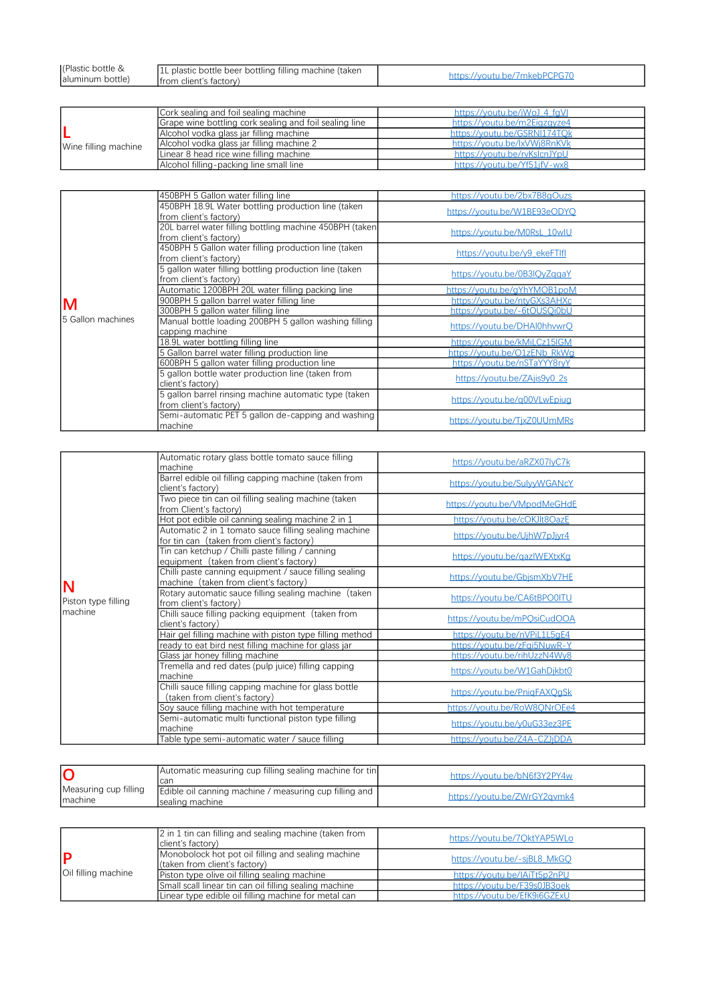| l(Plastic<br>` hottle &<br>bottle)<br><b>aluminum</b> | IL plastic bottle beer bottling filling machine (taken<br>Ifrom client's factory) | httne <sup>.</sup><br>1011<br>, מרי<br>'mke |
|-------------------------------------------------------|-----------------------------------------------------------------------------------|---------------------------------------------|
|                                                       |                                                                                   |                                             |

|                      | Cork sealing and foil sealing machine                  | https://voutu.be/iWoJ 4 faVI |
|----------------------|--------------------------------------------------------|------------------------------|
| Wine filling machine | Grape wine bottling cork sealing and foil sealing line | https://voutu.be/m2Eigzgyze4 |
|                      | Alcohol vodka glass jar filling machine                | https://youtu.be/GSRNI174TOk |
|                      | Alcohol vodka glass jar filling machine 2              | https://voutu.be/lxVWi8RnKVk |
|                      | Linear 8 head rice wine filling machine                | https://voutu.be/rvKslcnJYpU |
|                      | Alcohol filling-packing line small line                | https://voutu.be/Yf51ifV-wx8 |

|                    | 450BPH 5 Gallon water filling line                                                | https://voutu.be/2bx7B8aOuzs |
|--------------------|-----------------------------------------------------------------------------------|------------------------------|
|                    | 450BPH 18.9L Water bottling production line (taken<br>from client's factory)      | https://voutu.be/W1BE93eODYO |
|                    | 20L barrel water filling bottling machine 450BPH (taken<br>from client's factory) | https://youtu.be/M0RsL 10wlU |
|                    | 450BPH 5 Gallon water filling production line (taken<br>from client's factory)    | https://youtu.be/y9_ekeFTIfI |
|                    | 5 gallon water filling bottling production line (taken<br>from client's factory)  | https://youtu.be/0B3IQyZqgaY |
|                    | Automatic 1200BPH 20L water filling packing line                                  | https://voutu.be/aYhYMOB1poM |
| M                  | 900BPH 5 gallon barrel water filling line                                         | https://youtu.be/ntyGXs3AHXc |
|                    | 300BPH 5 gallon water filling line                                                | https://voutu.be/-6tOUSOi0bU |
| 15 Gallon machines | Manual bottle loading 200BPH 5 gallon washing filling<br>capping machine          | https://voutu.be/DHAl0hhvwrO |
|                    | 18.9L water bottling filling line                                                 | https://voutu.be/kMiLCz15IGM |
|                    | 5 Gallon barrel water filling production line                                     | https://voutu.be/O1zENb_RkWa |
|                    | 600BPH 5 gallon water filling production line                                     | https://voutu.be/nSTaYYY8rvY |
|                    | 5 gallon bottle water production line (taken from<br>client's factory)            | https://youtu.be/ZAjis9y0 2s |
|                    | 5 gallon barrel rinsing machine automatic type (taken<br>from client's factory)   | https://voutu.be/a00VLwEpiug |
|                    | Semi-automatic PET 5 gallon de-capping and washing<br>machine                     | https://voutu.be/TixZ0UUmMRs |

|                                 | Automatic rotary glass bottle tomato sauce filling<br>machine                                      | https://youtu.be/aRZX07lyC7k |
|---------------------------------|----------------------------------------------------------------------------------------------------|------------------------------|
|                                 | Barrel edible oil filling capping machine (taken from<br>client's factory)                         | https://youtu.be/SulyyWGANcY |
|                                 | Two piece tin can oil filling sealing machine (taken<br>from Client's factory)                     | https://youtu.be/VMpodMeGHdE |
|                                 | Hot pot edible oil canning sealing machine 2 in 1                                                  | https://youtu.be/cOKJlt8OazE |
|                                 | Automatic 2 in 1 tomato sauce filling sealing machine<br>for tin can (taken from client's factory) | https://youtu.be/UjhW7pJjyr4 |
|                                 | Tin can ketchup / Chilli paste filling / canning<br>equipment (taken from client's factory)        | https://youtu.be/gazIWEXtxKg |
| N                               | Chilli paste canning equipment / sauce filling sealing<br>machine (taken from client's factory)    | https://youtu.be/GbjsmXbV7HE |
| Piston type filling<br>Imachine | Rotary automatic sauce filling sealing machine (taken<br>from client's factory)                    | https://youtu.be/CA6tBPO0ITU |
|                                 | Chilli sauce filling packing equipment (taken from<br>client's factory)                            | https://voutu.be/mPOsiCudOOA |
|                                 | Hair gel filling machine with piston type filling method                                           | https://voutu.be/nVPiL1L5aE4 |
|                                 | ready to eat bird nest filling machine for glass jar                                               | https://voutu.be/zFai5NuwR-Y |
|                                 | Glass jar honey filling machine                                                                    | https://youtu.be/rihUzzN4Wy8 |
|                                 | Tremella and red dates (pulp juice) filling capping<br>machine                                     | https://youtu.be/W1GahDjkbt0 |
|                                 | Chilli sauce filling capping machine for glass bottle<br>(taken from client's factory)             | https://youtu.be/PniqFAXQgSk |
|                                 | Soy sauce filling machine with hot temperature                                                     | https://voutu.be/RoW8ONrOEe4 |
|                                 | Semi-automatic multi functional piston type filling<br>machine                                     | https://youtu.be/y0uG33ez3PE |
|                                 | Table type semi-automatic water / sauce filling                                                    | https://voutu.be/Z4A-CZJiDDA |

|                                   | Automatic measuring cup filling sealing machine for tin<br>Ican            | https://voutu.be/bN6f3Y2PY4w |
|-----------------------------------|----------------------------------------------------------------------------|------------------------------|
| Measuring cup filling<br>Imachine | Edible oil canning machine / measuring cup filling and<br>Isealing machine | https://voutu.be/ZWrGY2avmk4 |

| Oil filling machine | 2 in 1 tin can filling and sealing machine (taken from<br>client's factory)         | https://voutu.be/7OktYAP5WLo |
|---------------------|-------------------------------------------------------------------------------------|------------------------------|
|                     | Monobolock hot pot oil filling and sealing machine<br>(taken from client's factory) | https://youtu.be/-sjBL8_MkGQ |
|                     | Piston type olive oil filling sealing machine                                       | https://voutu.be/lAiTt5p2nPU |
|                     | Small scall linear tin can oil filling sealing machine                              | https://voutu.be/F39s0JB3oek |
|                     | Linear type edible oil filling machine for metal can                                | https://youtu.be/EfK9i6GZExU |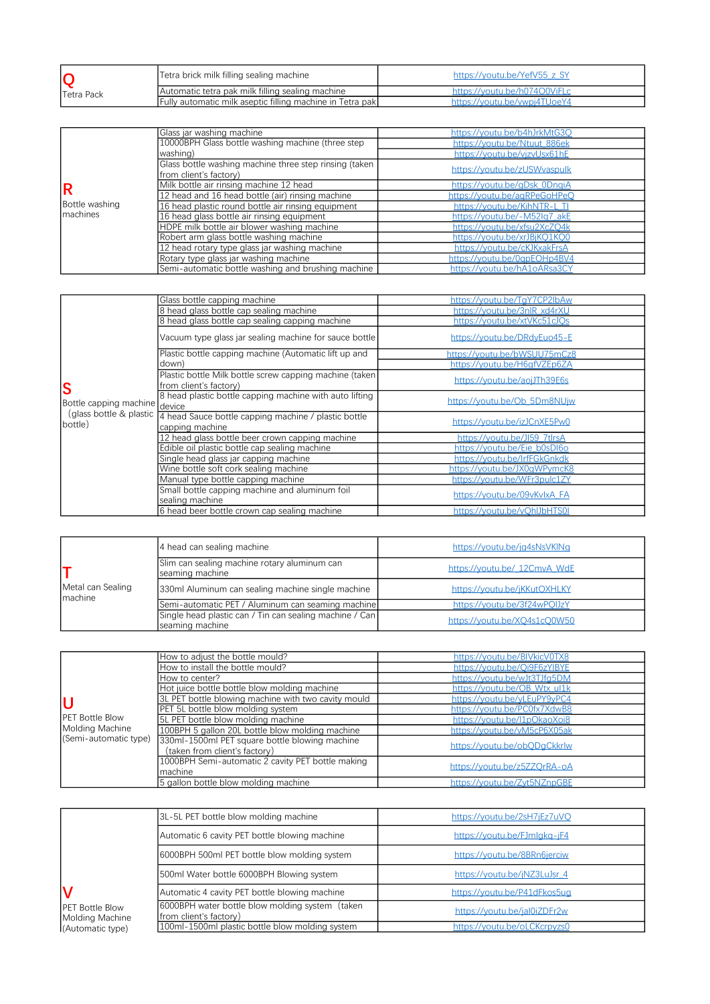| <b>ITetra Pack</b> | Tetra brick milk filling sealing machine                         | https://voutu.be/YefV55 z SY |
|--------------------|------------------------------------------------------------------|------------------------------|
|                    | Automatic tetra pak milk filling sealing machine                 | https://voutu.be/h074O0ViFLc |
|                    | <b>Fully automatic milk aseptic filling machine in Tetra pak</b> | https://voutu.be/wwpi4TUoeY4 |

|                                    | Glass jar washing machine                              | https://voutu.be/b4hJrkMtG3O |
|------------------------------------|--------------------------------------------------------|------------------------------|
|                                    | 10000BPH Glass bottle washing machine (three step      | https://voutu.be/Ntuut 886ek |
|                                    | washing)                                               | https://voutu.be/vizvUsx61hE |
|                                    | Glass bottle washing machine three step rinsing (taken | https://youtu.be/zUSWvaspulk |
|                                    | from client's factory)                                 |                              |
| R                                  | Milk bottle air rinsing machine 12 head                | https://voutu.be/aDsk_0DnaiA |
| Bottle washing<br><b>Imachines</b> | 12 head and 16 head bottle (air) rinsing machine       | https://voutu.be/agRPeGoHPeO |
|                                    | 16 head plastic round bottle air rinsing equipment     | https://youtu.be/KihNTR-L TI |
|                                    | 16 head glass bottle air rinsing equipment             | https://voutu.be/-M52lq7 akE |
|                                    | HDPE milk bottle air blower washing machine            | https://voutu.be/xfsu2XcZO4k |
|                                    | Robert arm glass bottle washing machine                | https://youtu.be/xrJBjKO1KO0 |
|                                    | 12 head rotary type glass jar washing machine          | https://voutu.be/cKJKxakFrsA |
|                                    | Rotary type glass jar washing machine                  | https://voutu.be/0apEOHp4BV4 |
|                                    | Semi-automatic bottle washing and brushing machine     | https://voutu.be/hA1oARsa3CY |

|                                    | Glass bottle capping machine                                                       | https://voutu.be/TaY7CP2lbAw |
|------------------------------------|------------------------------------------------------------------------------------|------------------------------|
|                                    | 8 head glass bottle cap sealing machine                                            | https://youtu.be/3nlR_xd4rXU |
|                                    | 8 head glass bottle cap sealing capping machine                                    | https://youtu.be/xtVKc51cJOs |
|                                    | Vacuum type glass jar sealing machine for sauce bottle                             | https://youtu.be/DRdyEuo45-E |
|                                    | Plastic bottle capping machine (Automatic lift up and                              | https://youtu.be/bWSUU75mCz8 |
|                                    | down)                                                                              | https://voutu.be/H6afVZEp6ZA |
| S                                  | Plastic bottle Milk bottle screw capping machine (taken)<br>from client's factory) | https://voutu.be/aoiJTh39E6s |
| Bottle capping machine device      | 8 head plastic bottle capping machine with auto lifting                            | https://youtu.be/Ob 5Dm8NUjw |
| (glass bottle & plastic<br>bottle) | 4 head Sauce bottle capping machine / plastic bottle<br>capping machine            | https://voutu.be/izJCnXE5Pw0 |
|                                    | 12 head glass bottle beer crown capping machine                                    | https://youtu.be/JI59 7tlrsA |
|                                    | Edible oil plastic bottle cap sealing machine                                      | https://voutu.be/Eie_b0sDI6o |
|                                    | Single head glass jar capping machine                                              | https://voutu.be/IrfFGkGnkdk |
|                                    | Wine bottle soft cork sealing machine                                              | https://youtu.be/JX0qWPymcK8 |
|                                    | Manual type bottle capping machine                                                 | https://voutu.be/WFr3pulc1ZY |
|                                    | Small bottle capping machine and aluminum foil<br>sealing machine                  | https://voutu.be/09vKvlxA_FA |
|                                    | 6 head beer bottle crown cap sealing machine                                       | https://voutu.be/vOhlJbHTS0I |

| Metal can Sealing<br><b>I</b> machine | 4 head can sealing machine                                                 | https://youtu.be/jg4sNsVKlNg |
|---------------------------------------|----------------------------------------------------------------------------|------------------------------|
|                                       | Slim can sealing machine rotary aluminum can<br>Iseaming machine           | https://youtu.be/ 12CmvA WdE |
|                                       | 330ml Aluminum can sealing machine single machine                          | https://voutu.be/iKKutOXHLKY |
|                                       | Semi-automatic PET / Aluminum can seaming machine                          | https://youtu.be/3f24wPOIJzY |
|                                       | Single head plastic can / Tin can sealing machine / Can<br>seaming machine | https://voutu.be/XO4s1cO0W50 |

|                                                                     | How to adjust the bottle mould?                                                 | https://voutu.be/BIVkicV0TX8 |
|---------------------------------------------------------------------|---------------------------------------------------------------------------------|------------------------------|
|                                                                     | How to install the bottle mould?                                                | https://youtu.be/Qi9F6zYIBYE |
|                                                                     | How to center?                                                                  | https://voutu.be/wJt3TJfa5DM |
|                                                                     | Hot juice bottle bottle blow molding machine                                    | https://voutu.be/OB Wtx ul1k |
| U                                                                   | 3L PET bottle blowing machine with two cavity mould                             | https://voutu.be/vLEuPY9vPC4 |
|                                                                     | PET 5L bottle blow molding system                                               | https://voutu.be/PC0fx7XdwB8 |
| <b>IPET Bottle Blow</b><br>Molding Machine<br>(Semi-automatic type) | 5L PET bottle blow molding machine                                              | https://youtu.be/l1pOkaoXoi8 |
|                                                                     | 100BPH 5 gallon 20L bottle blow molding machine                                 | https://voutu.be/vM5cP6X05ak |
|                                                                     | 330ml-1500ml PET square bottle blowing machine<br>(taken from client's factory) | https://voutu.be/obODaCkkrlw |
|                                                                     |                                                                                 |                              |
|                                                                     | 1000BPH Semi-automatic 2 cavity PET bottle making                               | https://youtu.be/z5ZZOrRA-oA |
|                                                                     | machine                                                                         |                              |
|                                                                     | 5 gallon bottle blow molding machine                                            | https://voutu.be/Zvt5NZnpGBE |

|                                                | 3L-5L PET bottle blow molding machine                                     | https://youtu.be/2sH7jEz7uVQ |
|------------------------------------------------|---------------------------------------------------------------------------|------------------------------|
| V<br><b>PET Bottle Blow</b><br>Molding Machine | Automatic 6 cavity PET bottle blowing machine                             | https://youtu.be/FJmlgkg-jF4 |
|                                                | 6000BPH 500ml PET bottle blow molding system                              | https://youtu.be/8BRn6jerciw |
|                                                | 500ml Water bottle 6000BPH Blowing system                                 | https://youtu.be/jNZ3LuJsr_4 |
|                                                | Automatic 4 cavity PET bottle blowing machine                             | https://youtu.be/P41dFkos5ug |
|                                                | 6000BPH water bottle blow molding system (taken<br>from client's factory) | https://youtu.be/jal0iZDFr2w |
| (Automatic type)                               | 100ml-1500ml plastic bottle blow molding system                           | https://voutu.be/oLCKcrpyzs0 |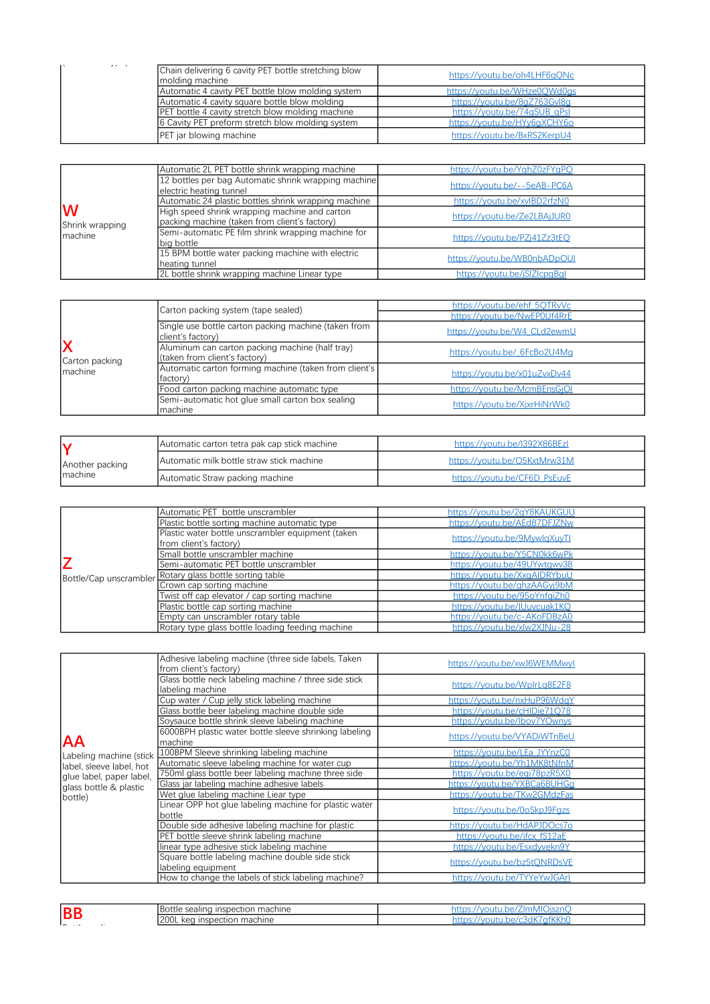| $\mathcal{L}(\mathbf{r}) = \mathcal{L}(\mathbf{r})$ |                                                         |                              |
|-----------------------------------------------------|---------------------------------------------------------|------------------------------|
|                                                     | Chain delivering 6 cavity PET bottle stretching blow    | https://youtu.be/oh4LHF6gQNc |
|                                                     | molding machine                                         |                              |
|                                                     | Automatic 4 cavity PET bottle blow molding system       | https://youtu.be/WHze0OWd0gs |
|                                                     | Automatic 4 cavity square bottle blow molding           | https://voutu.be/8aZ763Gvl8a |
|                                                     | <b>PET</b> bottle 4 cavity stretch blow molding machine | https://voutu.be/74aSUB_aPsl |
|                                                     | 6 Cavity PET preform stretch blow molding system        | https://youtu.be/HYy6qXCHY6o |
|                                                     | PET jar blowing machine                                 | https://voutu.be/BxRS2KerpU4 |

|                      | Automatic 2L PET bottle shrink wrapping machine                                                | https://voutu.be/YahZ0zFYaPO |
|----------------------|------------------------------------------------------------------------------------------------|------------------------------|
|                      | 12 bottles per bag Automatic shrink wrapping machine<br>electric heating tunnel                | https://voutu.be/--5eAB-PC6A |
|                      | Automatic 24 plastic bottles shrink wrapping machine                                           | https://voutu.be/xvlBD2rfzN0 |
| W<br>Shrink wrapping | High speed shrink wrapping machine and carton<br>packing machine (taken from client's factory) | https://voutu.be/Ze2LBAiJUR0 |
| Imachine             | Semi-automatic PE film shrink wrapping machine for<br>big bottle                               | https://voutu.be/PZi41Zz3tEO |
|                      | 15 BPM bottle water packing machine with electric<br>heating tunnel                            | https://voutu.be/WB0nbADpOUI |
|                      | 2L bottle shrink wrapping machine Linear type                                                  | https://voutu.be/iSlZlcpaBal |

|                | Carton packing system (tape sealed)                                              | https://voutu.be/ehf 5OTRvVc |
|----------------|----------------------------------------------------------------------------------|------------------------------|
|                |                                                                                  | https://youtu.be/NwEP0Uf4RrE |
|                | Single use bottle carton packing machine (taken from<br>client's factory)        | https://youtu.be/W4_CLd2ewmU |
| Carton packing | Aluminum can carton packing machine (half tray)<br>(taken from client's factory) | https://youtu.be/_6FcBo2U4Mg |
| Imachine       | Automatic carton forming machine (taken from client's<br>factory)                | https://youtu.be/x01uZvxDv44 |
|                | Food carton packing machine automatic type                                       | https://voutu.be/McmBEnsGiOI |
|                | Semi-automatic hot glue small carton box sealing<br>machine                      | https://voutu.be/XixrHiNrWk0 |

|                 | Automatic carton tetra pak cap stick machine | https://voutu.be/l392X86BEzl |
|-----------------|----------------------------------------------|------------------------------|
| Another packing | Automatic milk bottle straw stick machine    | https://voutu.be/O5KxtMrw31M |
| Imachine        | Automatic Straw packing machine              | https://voutu.be/CF6D PsEuvE |

|                        | Automatic PET bottle unscrambler                  | https://youtu.be/2qY8KAUKGUU |
|------------------------|---------------------------------------------------|------------------------------|
|                        | Plastic bottle sorting machine automatic type     | https://voutu.be/AEdB7DFJZNw |
|                        | Plastic water bottle unscrambler equipment (taken |                              |
|                        | from client's factory)                            | https://voutu.be/9MvwlaXuvTl |
|                        | Small bottle unscrambler machine                  | https://voutu.be/Y5CN0kk6wPk |
|                        | Semi-automatic PET bottle unscrambler             | https://voutu.be/49UYwtawy38 |
| Bottle/Cap unscrambler | - Rotary glass bottle sorting table               | https://voutu.be/XxaAIDRYbuU |
|                        | Crown cap sorting machine                         | https://voutu.be/ghzAAGvi9bM |
|                        | Twist off cap elevator / cap sorting machine      | https://youtu.be/95oYnfgiZh0 |
|                        | Plastic bottle cap sorting machine                | https://voutu.be/IUuvcuak1KO |
|                        | Empty can unscrambler rotary table                | https://voutu.be/c-AKoFDBzA0 |
|                        | Rotary type glass bottle loading feeding machine  | https://voutu.be/xlw2XJNu-28 |

|                          | Adhesive labeling machine (three side labels, Taken<br>from client's factory) | https://voutu.be/xwJ6WEMMwvl |
|--------------------------|-------------------------------------------------------------------------------|------------------------------|
|                          | Glass bottle neck labeling machine / three side stick<br>labeling machine     | https://voutu.be/WplrLa8E2F8 |
|                          | Cup water / Cup jelly stick labeling machine                                  | https://voutu.be/nxHuP96WdaY |
|                          | Glass bottle beer labeling machine double side                                | https://youtu.be/cHIDie71078 |
|                          | Soysauce bottle shrink sleeve labeling machine                                | https://voutu.be/lbov7YOwnvs |
| <b>AA</b>                | 6000BPH plastic water bottle sleeve shrinking labeling<br>machine             | https://voutu.be/VYADiWTnBeU |
| Labeling machine (stick  | 100BPM Sleeve shrinking labeling machine                                      | https://youtu.be/LEa JYYnzC0 |
| label, sleeve label, hot | Automatic sleeve labeling machine for water cup                               | https://youtu.be/Yh1MK8tNfnM |
| glue label, paper label, | 750ml glass bottle beer labeling machine three side                           | https://voutu.be/egi78pzR5X0 |
| glass bottle & plastic   | Glass jar labeling machine adhesive labels                                    | https://youtu.be/YXBCa6BUHGg |
| bottle)                  | Wet glue labeling machine Liear type                                          | https://youtu.be/TKw2GMdzFas |
|                          | Linear OPP hot glue labeling machine for plastic water<br>bottle              | https://youtu.be/0oSkpJ9Fqzs |
|                          | Double side adhesive labeling machine for plastic                             | https://voutu.be/HdAPJDOcs7o |
|                          | PET bottle sleeve shrink labeling machine                                     | https://voutu.be/ifcx_fS12aE |
|                          | linear type adhesive stick labeling machine                                   | https://youtu.be/Esxdyvekn9Y |
|                          | Square bottle labeling machine double side stick<br>labeling equipment        | https://voutu.be/bz5tONRDsVE |
|                          | How to change the labels of stick labeling machine?                           | https://voutu.be/TYYeYwJGArl |

| <b>BI</b> | machine<br>Bottle sealind<br>inspection | voutu.be/ZlmMIOisznC            |
|-----------|-----------------------------------------|---------------------------------|
|           | l200L kea<br>⊦machine<br>, inspection   | <b>ifKKhC</b><br>OUTU<br>$\sim$ |
|           |                                         |                                 |